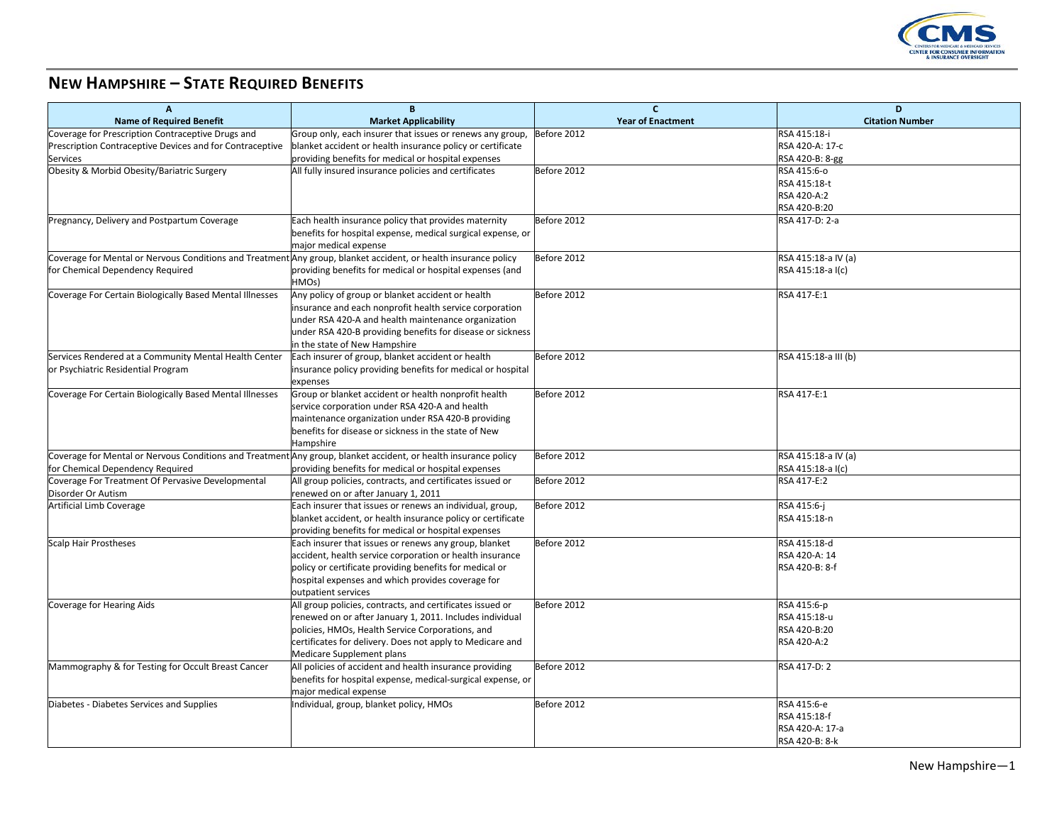

## **NEW HAMPSHIRE – STATE REQUIRED BENEFITS**

| A                                                                                                               | B                                                           | $\mathbf{C}$             | D                      |
|-----------------------------------------------------------------------------------------------------------------|-------------------------------------------------------------|--------------------------|------------------------|
| <b>Name of Required Benefit</b>                                                                                 | <b>Market Applicability</b>                                 | <b>Year of Enactment</b> | <b>Citation Number</b> |
| Coverage for Prescription Contraceptive Drugs and                                                               | Group only, each insurer that issues or renews any group,   | Before 2012              | RSA 415:18-i           |
| Prescription Contraceptive Devices and for Contraceptive                                                        | blanket accident or health insurance policy or certificate  |                          | RSA 420-A: 17-c        |
| <b>Services</b>                                                                                                 | providing benefits for medical or hospital expenses         |                          | RSA 420-B: 8-gg        |
| Obesity & Morbid Obesity/Bariatric Surgery                                                                      | All fully insured insurance policies and certificates       | Before 2012              | RSA 415:6-0            |
|                                                                                                                 |                                                             |                          | RSA 415:18-t           |
|                                                                                                                 |                                                             |                          | RSA 420-A:2            |
|                                                                                                                 |                                                             |                          | RSA 420-B:20           |
| Pregnancy, Delivery and Postpartum Coverage                                                                     | Each health insurance policy that provides maternity        | Before 2012              | RSA 417-D: 2-a         |
|                                                                                                                 | benefits for hospital expense, medical surgical expense, or |                          |                        |
|                                                                                                                 | major medical expense                                       |                          |                        |
| Coverage for Mental or Nervous Conditions and Treatment Any group, blanket accident, or health insurance policy |                                                             | Before 2012              | RSA 415:18-a IV (a)    |
| for Chemical Dependency Required                                                                                | providing benefits for medical or hospital expenses (and    |                          | RSA 415:18-a I(c)      |
|                                                                                                                 | HMOs)                                                       |                          |                        |
| Coverage For Certain Biologically Based Mental Illnesses                                                        | Any policy of group or blanket accident or health           | Before 2012              | RSA 417-E:1            |
|                                                                                                                 | insurance and each nonprofit health service corporation     |                          |                        |
|                                                                                                                 | under RSA 420-A and health maintenance organization         |                          |                        |
|                                                                                                                 | under RSA 420-B providing benefits for disease or sickness  |                          |                        |
|                                                                                                                 | in the state of New Hampshire                               |                          |                        |
| Services Rendered at a Community Mental Health Center                                                           | Each insurer of group, blanket accident or health           | Before 2012              | RSA 415:18-a III (b)   |
| or Psychiatric Residential Program                                                                              | insurance policy providing benefits for medical or hospital |                          |                        |
|                                                                                                                 | expenses                                                    |                          |                        |
| Coverage For Certain Biologically Based Mental Illnesses                                                        | Group or blanket accident or health nonprofit health        | Before 2012              | RSA 417-E:1            |
|                                                                                                                 | service corporation under RSA 420-A and health              |                          |                        |
|                                                                                                                 | maintenance organization under RSA 420-B providing          |                          |                        |
|                                                                                                                 | benefits for disease or sickness in the state of New        |                          |                        |
|                                                                                                                 | Hampshire                                                   |                          |                        |
| Coverage for Mental or Nervous Conditions and Treatment Any group, blanket accident, or health insurance policy |                                                             | Before 2012              | RSA 415:18-a IV (a)    |
| for Chemical Dependency Required                                                                                | providing benefits for medical or hospital expenses         |                          | RSA 415:18-a I(c)      |
| Coverage For Treatment Of Pervasive Developmental                                                               | All group policies, contracts, and certificates issued or   | Before 2012              | RSA 417-E:2            |
| Disorder Or Autism                                                                                              | renewed on or after January 1, 2011                         |                          |                        |
| Artificial Limb Coverage                                                                                        | Each insurer that issues or renews an individual, group,    | Before 2012              | RSA 415:6-j            |
|                                                                                                                 | blanket accident, or health insurance policy or certificate |                          | RSA 415:18-n           |
|                                                                                                                 | providing benefits for medical or hospital expenses         |                          |                        |
| <b>Scalp Hair Prostheses</b>                                                                                    | Each insurer that issues or renews any group, blanket       | Before 2012              | RSA 415:18-d           |
|                                                                                                                 | accident, health service corporation or health insurance    |                          | RSA 420-A: 14          |
|                                                                                                                 | policy or certificate providing benefits for medical or     |                          | RSA 420-B: 8-f         |
|                                                                                                                 | hospital expenses and which provides coverage for           |                          |                        |
|                                                                                                                 | outpatient services                                         |                          |                        |
| Coverage for Hearing Aids                                                                                       | All group policies, contracts, and certificates issued or   | Before 2012              | RSA 415:6-p            |
|                                                                                                                 | renewed on or after January 1, 2011. Includes individual    |                          | RSA 415:18-u           |
|                                                                                                                 | policies, HMOs, Health Service Corporations, and            |                          | RSA 420-B:20           |
|                                                                                                                 | certificates for delivery. Does not apply to Medicare and   |                          | RSA 420-A:2            |
|                                                                                                                 | Medicare Supplement plans                                   |                          |                        |
| Mammography & for Testing for Occult Breast Cancer                                                              | All policies of accident and health insurance providing     | Before 2012              | RSA 417-D: 2           |
|                                                                                                                 | benefits for hospital expense, medical-surgical expense, or |                          |                        |
|                                                                                                                 | major medical expense                                       |                          |                        |
| Diabetes - Diabetes Services and Supplies                                                                       | Individual, group, blanket policy, HMOs                     | Before 2012              | RSA 415:6-e            |
|                                                                                                                 |                                                             |                          | RSA 415:18-f           |
|                                                                                                                 |                                                             |                          | RSA 420-A: 17-a        |
|                                                                                                                 |                                                             |                          | RSA 420-B: 8-k         |